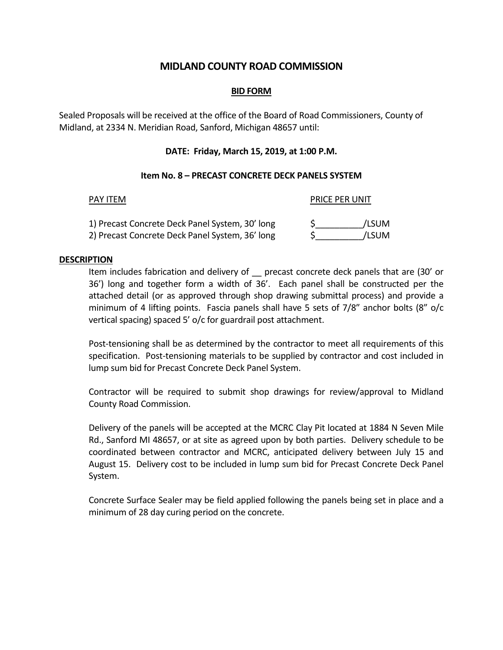# **MIDLAND COUNTY ROAD COMMISSION**

## **BID FORM**

Sealed Proposals will be received at the office of the Board of Road Commissioners, County of Midland, at 2334 N. Meridian Road, Sanford, Michigan 48657 until:

# **DATE: Friday, March 15, 2019, at 1:00 P.M.**

## **Item No. 8 – PRECAST CONCRETE DECK PANELS SYSTEM**

| <b>PAY ITEM</b>                                                                                    | <b>PRICE PER UNIT</b> |  |
|----------------------------------------------------------------------------------------------------|-----------------------|--|
| 1) Precast Concrete Deck Panel System, 30' long<br>2) Precast Concrete Deck Panel System, 36' long | /LSUM<br>/LSUM        |  |

### **DESCRIPTION**

Item includes fabrication and delivery of \_\_ precast concrete deck panels that are (30' or 36') long and together form a width of 36'. Each panel shall be constructed per the attached detail (or as approved through shop drawing submittal process) and provide a minimum of 4 lifting points. Fascia panels shall have 5 sets of 7/8" anchor bolts (8" o/c vertical spacing) spaced 5' o/c for guardrail post attachment.

Post-tensioning shall be as determined by the contractor to meet all requirements of this specification. Post-tensioning materials to be supplied by contractor and cost included in lump sum bid for Precast Concrete Deck Panel System.

Contractor will be required to submit shop drawings for review/approval to Midland County Road Commission.

Delivery of the panels will be accepted at the MCRC Clay Pit located at 1884 N Seven Mile Rd., Sanford MI 48657, or at site as agreed upon by both parties. Delivery schedule to be coordinated between contractor and MCRC, anticipated delivery between July 15 and August 15. Delivery cost to be included in lump sum bid for Precast Concrete Deck Panel System.

Concrete Surface Sealer may be field applied following the panels being set in place and a minimum of 28 day curing period on the concrete.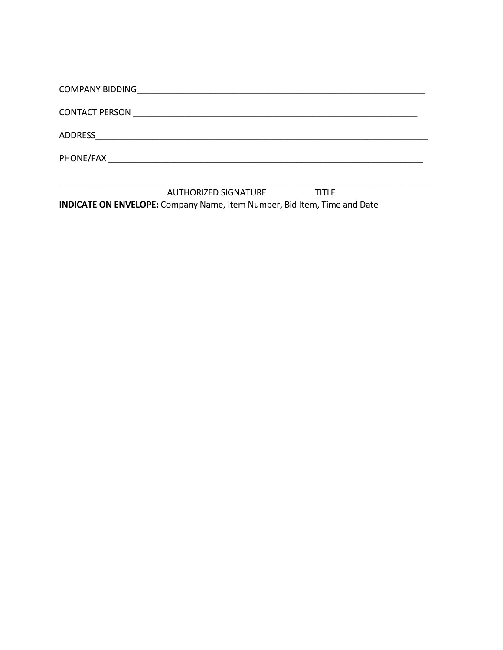| <b>COMPANY BIDDING</b><br><u> 1980 - Jan James Santan, masjid a shekara ta 1980 a shekara ta 1980 a shekara ta 1980 a shekara ta 1980 a she</u> |
|-------------------------------------------------------------------------------------------------------------------------------------------------|
|                                                                                                                                                 |
| ADDRESS<br><u> 1989 - John Stein, september 1989 - John Stein, september 1989 - John Stein, september 1989 - John Stein, sep</u>                |
|                                                                                                                                                 |
|                                                                                                                                                 |

AUTHORIZED SIGNATURE **TITLE** INDICATE ON ENVELOPE: Company Name, Item Number, Bid Item, Time and Date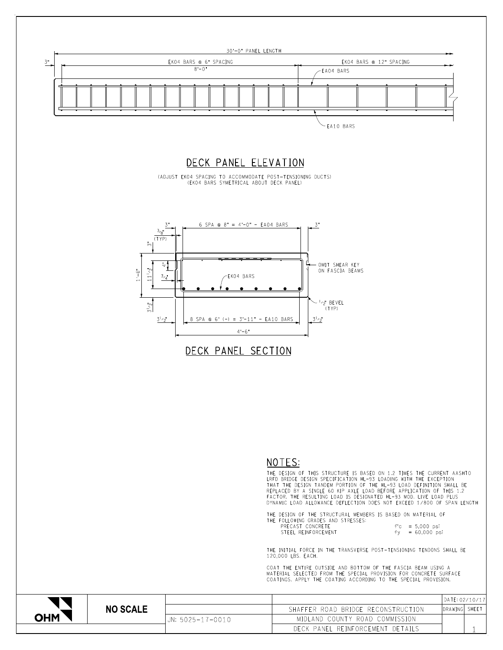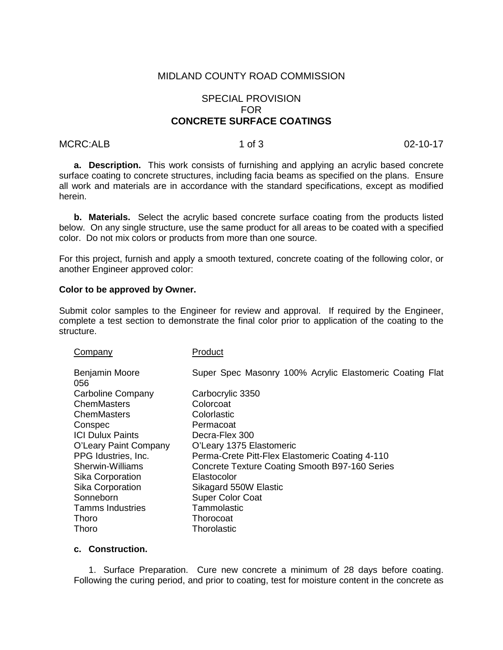# MIDLAND COUNTY ROAD COMMISSION

# SPECIAL PROVISION FOR **CONCRETE SURFACE COATINGS**

#### MCRC:ALB 1 of 3 02-10-17

**a. Description.** This work consists of furnishing and applying an acrylic based concrete surface coating to concrete structures, including facia beams as specified on the plans. Ensure all work and materials are in accordance with the standard specifications, except as modified herein.

**b. Materials.** Select the acrylic based concrete surface coating from the products listed below. On any single structure, use the same product for all areas to be coated with a specified color. Do not mix colors or products from more than one source.

For this project, furnish and apply a smooth textured, concrete coating of the following color, or another Engineer approved color:

#### **Color to be approved by Owner.**

Submit color samples to the Engineer for review and approval. If required by the Engineer, complete a test section to demonstrate the final color prior to application of the coating to the structure.

| Company                 | Product                                                  |
|-------------------------|----------------------------------------------------------|
| Benjamin Moore<br>056   | Super Spec Masonry 100% Acrylic Elastomeric Coating Flat |
| Carboline Company       | Carbocrylic 3350                                         |
| ChemMasters             | Colorcoat                                                |
| ChemMasters             | Colorlastic                                              |
| Conspec                 | Permacoat                                                |
| <b>ICI Dulux Paints</b> | Decra-Flex 300                                           |
| O'Leary Paint Company   | O'Leary 1375 Elastomeric                                 |
| PPG Idustries, Inc.     | Perma-Crete Pitt-Flex Elastomeric Coating 4-110          |
| Sherwin-Williams        | Concrete Texture Coating Smooth B97-160 Series           |
| Sika Corporation        | Elastocolor                                              |
| Sika Corporation        | Sikagard 550W Elastic                                    |
| Sonneborn               | <b>Super Color Coat</b>                                  |
| <b>Tamms Industries</b> | Tammolastic                                              |
| <b>Thoro</b>            | Thorocoat                                                |
| Thoro                   | Thorolastic                                              |

### **c. Construction.**

1. Surface Preparation. Cure new concrete a minimum of 28 days before coating. Following the curing period, and prior to coating, test for moisture content in the concrete as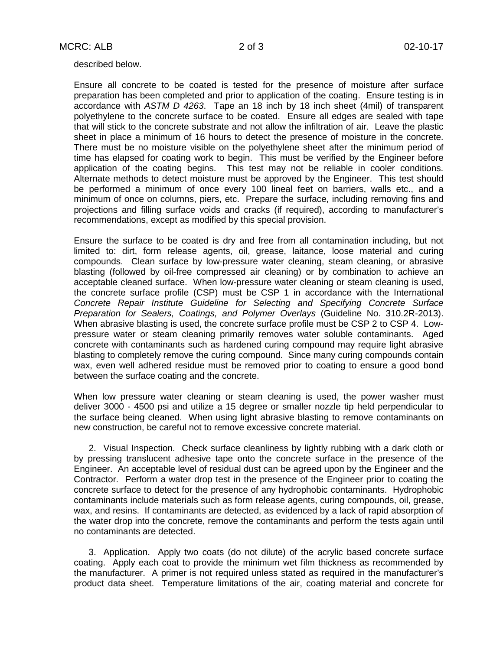described below.

Ensure all concrete to be coated is tested for the presence of moisture after surface preparation has been completed and prior to application of the coating. Ensure testing is in accordance with *ASTM D 4263*. Tape an 18 inch by 18 inch sheet (4mil) of transparent polyethylene to the concrete surface to be coated. Ensure all edges are sealed with tape that will stick to the concrete substrate and not allow the infiltration of air. Leave the plastic sheet in place a minimum of 16 hours to detect the presence of moisture in the concrete. There must be no moisture visible on the polyethylene sheet after the minimum period of time has elapsed for coating work to begin. This must be verified by the Engineer before application of the coating begins. This test may not be reliable in cooler conditions. Alternate methods to detect moisture must be approved by the Engineer. This test should be performed a minimum of once every 100 lineal feet on barriers, walls etc., and a minimum of once on columns, piers, etc. Prepare the surface, including removing fins and projections and filling surface voids and cracks (if required), according to manufacturer's recommendations, except as modified by this special provision.

Ensure the surface to be coated is dry and free from all contamination including, but not limited to: dirt, form release agents, oil, grease, laitance, loose material and curing compounds. Clean surface by low-pressure water cleaning, steam cleaning, or abrasive blasting (followed by oil-free compressed air cleaning) or by combination to achieve an acceptable cleaned surface. When low-pressure water cleaning or steam cleaning is used, the concrete surface profile (CSP) must be CSP 1 in accordance with the International *Concrete Repair Institute Guideline for Selecting and Specifying Concrete Surface Preparation for Sealers, Coatings, and Polymer Overlays* (Guideline No. 310.2R-2013). When abrasive blasting is used, the concrete surface profile must be CSP 2 to CSP 4. Lowpressure water or steam cleaning primarily removes water soluble contaminants. Aged concrete with contaminants such as hardened curing compound may require light abrasive blasting to completely remove the curing compound. Since many curing compounds contain wax, even well adhered residue must be removed prior to coating to ensure a good bond between the surface coating and the concrete.

When low pressure water cleaning or steam cleaning is used, the power washer must deliver 3000 - 4500 psi and utilize a 15 degree or smaller nozzle tip held perpendicular to the surface being cleaned. When using light abrasive blasting to remove contaminants on new construction, be careful not to remove excessive concrete material.

2. Visual Inspection. Check surface cleanliness by lightly rubbing with a dark cloth or by pressing translucent adhesive tape onto the concrete surface in the presence of the Engineer. An acceptable level of residual dust can be agreed upon by the Engineer and the Contractor. Perform a water drop test in the presence of the Engineer prior to coating the concrete surface to detect for the presence of any hydrophobic contaminants. Hydrophobic contaminants include materials such as form release agents, curing compounds, oil, grease, wax, and resins. If contaminants are detected, as evidenced by a lack of rapid absorption of the water drop into the concrete, remove the contaminants and perform the tests again until no contaminants are detected.

3. Application. Apply two coats (do not dilute) of the acrylic based concrete surface coating. Apply each coat to provide the minimum wet film thickness as recommended by the manufacturer. A primer is not required unless stated as required in the manufacturer's product data sheet. Temperature limitations of the air, coating material and concrete for